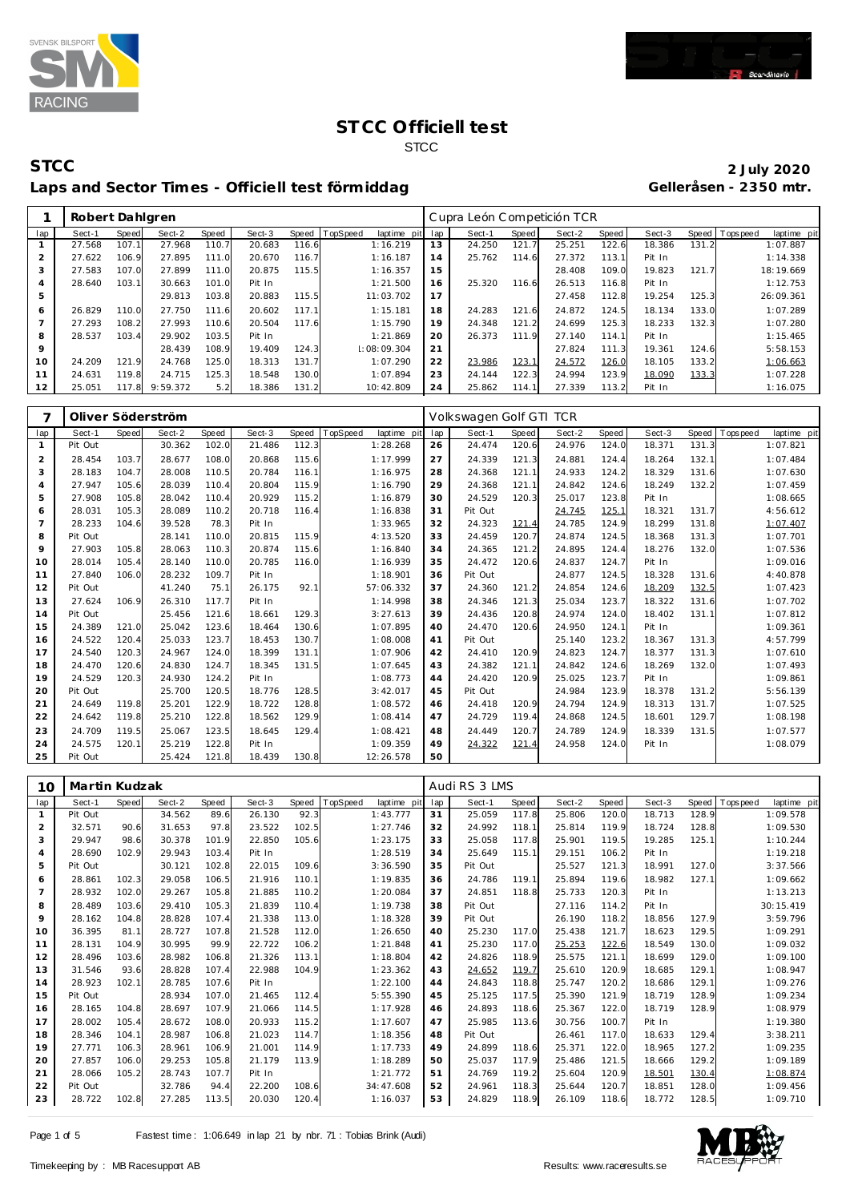



#### **STCC 2 July 2020** Laps and Sector Times - Officiell test förmiddag

|                | Robert Dahlgren |       |          |       |        |       |          |             |     | Cupra León Competición TCR |       |        |       |        |       |                               |
|----------------|-----------------|-------|----------|-------|--------|-------|----------|-------------|-----|----------------------------|-------|--------|-------|--------|-------|-------------------------------|
| lap            | Sect-1          | Speed | Sect-2   | Speed | Sect-3 | Speed | TopSpeed | laptime pit | lap | Sect-1                     | Speed | Sect-2 | Speed | Sect-3 |       | Speed Topspeed<br>laptime pit |
|                | 27.568          | 107.1 | 27.968   | 110.7 | 20.683 | 116.6 |          | 1:16.219    | 13  | 24.250                     | 121.7 | 25.251 | 122.6 | 18.386 | 131.2 | 1:07.887                      |
| $\overline{2}$ | 27.622          | 106.9 | 27.895   | 111.0 | 20.670 | 116.7 |          | 1:16.187    | 14  | 25.762                     | 114.6 | 27.372 | 113.1 | Pit In |       | 1:14.338                      |
| 3              | 27.583          | 107.0 | 27.899   | 111.0 | 20.875 | 115.5 |          | 1:16.357    | 15  |                            |       | 28.408 | 109.0 | 19.823 | 121.7 | 18:19.669                     |
| 4              | 28.640          | 103.1 | 30.663   | 101.0 | Pit In |       |          | 1:21.500    | 16  | 25.320                     | 116.6 | 26.513 | 116.8 | Pit In |       | 1:12.753                      |
| 5              |                 |       | 29.813   | 103.8 | 20.883 | 115.5 |          | 11:03.702   | 17  |                            |       | 27.458 | 112.8 | 19.254 | 125.3 | 26:09.361                     |
| 6              | 26.829          | 110.0 | 27.750   | 111.6 | 20.602 | 117.1 |          | 1:15.181    | 18  | 24.283                     | 121.6 | 24.872 | 124.5 | 18.134 | 133.0 | 1:07.289                      |
|                | 27.293          | 108.2 | 27.993   | 110.6 | 20.504 | 117.6 |          | 1:15.790    | 19  | 24.348                     | 121.2 | 24.699 | 125.3 | 18.233 | 132.3 | 1:07.280                      |
| 8              | 28.537          | 103.4 | 29.902   | 103.5 | Pit In |       |          | 1:21.869    | 20  | 26.373                     | 111.9 | 27.140 | 114.1 | Pit In |       | 1:15.465                      |
| 9              |                 |       | 28.439   | 108.9 | 19.409 | 124.3 |          | :08:09.304  | 21  |                            |       | 27.824 | 111.3 | 19.361 | 124.6 | 5:58.153                      |
| 10             | 24.209          | 121.9 | 24.768   | 125.0 | 18.313 | 131.7 |          | 1:07.290    | 22  | 23.986                     | 123.1 | 24.572 | 126.0 | 18.105 | 133.2 | 1:06.663                      |
| 11             | 24.631          | 119.8 | 24.715   | 125.3 | 18.548 | 130.0 |          | 1:07.894    | 23  | 24.144                     | 122.3 | 24.994 | 123.9 | 18.090 | 133.3 | 1:07.228                      |
| 12             | 25.051          | 117.8 | 9:59.372 | 5.2   | 18.386 | 131.2 |          | 10:42.809   | 24  | 25.862                     | 114.1 | 27.339 | 113.2 | Pit In |       | 1:16.075                      |

|                |         |       | Oliver Söderström |       |        |       |                         |     | Volkswagen Golf GTI TCR |       |        |              |        |       |           |             |
|----------------|---------|-------|-------------------|-------|--------|-------|-------------------------|-----|-------------------------|-------|--------|--------------|--------|-------|-----------|-------------|
| lap            | Sect-1  | Speed | Sect-2            | Speed | Sect-3 | Speed | TopSpeed<br>laptime pit | lap | Sect-1                  | Speed | Sect-2 | <b>Speed</b> | Sect-3 | Speed | Tops peed | laptime pit |
| $\mathbf{1}$   | Pit Out |       | 30.362            | 102.0 | 21.486 | 112.3 | 1:28.268                | 26  | 24.474                  | 120.6 | 24.976 | 124.0        | 18.371 | 131.3 |           | 1:07.821    |
| $\overline{2}$ | 28.454  | 103.7 | 28.677            | 108.0 | 20.868 | 115.6 | 1:17.999                | 27  | 24.339                  | 121.3 | 24.881 | 124.4        | 18.264 | 132.1 |           | 1:07.484    |
| 3              | 28.183  | 104.7 | 28.008            | 110.5 | 20.784 | 116.1 | 1:16.975                | 28  | 24.368                  | 121.1 | 24.933 | 124.2        | 18.329 | 131.6 |           | 1:07.630    |
| $\overline{4}$ | 27.947  | 105.6 | 28.039            | 110.4 | 20.804 | 115.9 | 1:16.790                | 29  | 24.368                  | 121.1 | 24.842 | 124.6        | 18.249 | 132.2 |           | 1:07.459    |
| 5              | 27.908  | 105.8 | 28.042            | 110.4 | 20.929 | 115.2 | 1:16.879                | 30  | 24.529                  | 120.3 | 25.017 | 123.8        | Pit In |       |           | 1:08.665    |
| 6              | 28.031  | 105.3 | 28.089            | 110.2 | 20.718 | 116.4 | 1:16.838                | 31  | Pit Out                 |       | 24.745 | 125.1        | 18.321 | 131.7 |           | 4:56.612    |
| $\overline{7}$ | 28.233  | 104.6 | 39.528            | 78.3  | Pit In |       | 1:33.965                | 32  | 24.323                  | 121.4 | 24.785 | 124.9        | 18.299 | 131.8 |           | 1:07.407    |
| 8              | Pit Out |       | 28.141            | 110.0 | 20.815 | 115.9 | 4:13.520                | 33  | 24.459                  | 120.7 | 24.874 | 124.5        | 18.368 | 131.3 |           | 1:07.701    |
| 9              | 27.903  | 105.8 | 28.063            | 110.3 | 20.874 | 115.6 | 1:16.840                | 34  | 24.365                  | 121.2 | 24.895 | 124.4        | 18.276 | 132.0 |           | 1:07.536    |
| 10             | 28.014  | 105.4 | 28.140            | 110.0 | 20.785 | 116.0 | 1:16.939                | 35  | 24.472                  | 120.6 | 24.837 | 124.7        | Pit In |       |           | 1:09.016    |
| 11             | 27.840  | 106.0 | 28.232            | 109.7 | Pit In |       | 1:18.901                | 36  | Pit Out                 |       | 24.877 | 124.5        | 18.328 | 131.6 |           | 4:40.878    |
| 12             | Pit Out |       | 41.240            | 75.1  | 26.175 | 92.1  | 57:06.332               | 37  | 24.360                  | 121.2 | 24.854 | 124.6        | 18.209 | 132.5 |           | 1:07.423    |
| 13             | 27.624  | 106.9 | 26.310            | 117.7 | Pit In |       | 1:14.998                | 38  | 24.346                  | 121.3 | 25.034 | 123.7        | 18.322 | 131.6 |           | 1:07.702    |
| 14             | Pit Out |       | 25.456            | 121.6 | 18.661 | 129.3 | 3:27.613                | 39  | 24.436                  | 120.8 | 24.974 | 124.0        | 18.402 | 131.1 |           | 1:07.812    |
| 15             | 24.389  | 121.0 | 25.042            | 123.6 | 18.464 | 130.6 | 1:07.895                | 40  | 24.470                  | 120.6 | 24.950 | 124.1        | Pit In |       |           | 1:09.361    |
| 16             | 24.522  | 120.4 | 25.033            | 123.7 | 18.453 | 130.7 | 1:08.008                | 41  | Pit Out                 |       | 25.140 | 123.2        | 18.367 | 131.3 |           | 4:57.799    |
| 17             | 24.540  | 120.3 | 24.967            | 124.0 | 18.399 | 131.1 | 1:07.906                | 42  | 24.410                  | 120.9 | 24.823 | 124.7        | 18.377 | 131.3 |           | 1:07.610    |
| 18             | 24.470  | 120.6 | 24.830            | 124.7 | 18.345 | 131.5 | 1:07.645                | 43  | 24.382                  | 121.1 | 24.842 | 124.6        | 18.269 | 132.0 |           | 1:07.493    |
| 19             | 24.529  | 120.3 | 24.930            | 124.2 | Pit In |       | 1:08.773                | 44  | 24.420                  | 120.9 | 25.025 | 123.7        | Pit In |       |           | 1:09.861    |
| 20             | Pit Out |       | 25.700            | 120.5 | 18.776 | 128.5 | 3:42.017                | 45  | Pit Out                 |       | 24.984 | 123.9        | 18.378 | 131.2 |           | 5:56.139    |
| 21             | 24.649  | 119.8 | 25.201            | 122.9 | 18.722 | 128.8 | 1:08.572                | 46  | 24.418                  | 120.9 | 24.794 | 124.9        | 18.313 | 131.7 |           | 1:07.525    |
| 22             | 24.642  | 119.8 | 25.210            | 122.8 | 18.562 | 129.9 | 1:08.414                | 47  | 24.729                  | 119.4 | 24.868 | 124.5        | 18.601 | 129.7 |           | 1:08.198    |
| 23             | 24.709  | 119.5 | 25.067            | 123.5 | 18.645 | 129.4 | 1:08.421                | 48  | 24.449                  | 120.7 | 24.789 | 124.9        | 18.339 | 131.5 |           | 1:07.577    |
| 24             | 24.575  | 120.1 | 25.219            | 122.8 | Pit In |       | 1:09.359                | 49  | 24.322                  | 121.4 | 24.958 | 124.0        | Pit In |       |           | 1:08.079    |
| 25             | Pit Out |       | 25.424            | 121.8 | 18.439 | 130.8 | 12:26.578               | 50  |                         |       |        |              |        |       |           |             |

| 10  | Martin Kudzak |       |        |       |        |       |          |             |     | Audi RS 3 LMS |       |        |       |        |       |           |             |
|-----|---------------|-------|--------|-------|--------|-------|----------|-------------|-----|---------------|-------|--------|-------|--------|-------|-----------|-------------|
| lap | Sect-1        | Speed | Sect-2 | Speed | Sect-3 | Speed | TopSpeed | laptime pit | lap | Sect-1        | Speed | Sect-2 | Speed | Sect-3 | Speed | Tops peed | laptime pit |
|     | Pit Out       |       | 34.562 | 89.6  | 26.130 | 92.3  |          | 1:43.777    | 31  | 25.059        | 117.8 | 25.806 | 120.0 | 18.713 | 128.9 |           | 1:09.578    |
| 2   | 32.571        | 90.6  | 31.653 | 97.8  | 23.522 | 102.5 |          | 1:27.746    | 32  | 24.992        | 118.1 | 25.814 | 119.9 | 18.724 | 128.8 |           | 1:09.530    |
| 3   | 29.947        | 98.6  | 30.378 | 101.9 | 22.850 | 105.6 |          | 1:23.175    | 33  | 25.058        | 117.8 | 25.901 | 119.5 | 19.285 | 125.1 |           | 1:10.244    |
| 4   | 28.690        | 102.9 | 29.943 | 103.4 | Pit In |       |          | 1:28.519    | 34  | 25.649        | 115.1 | 29.151 | 106.2 | Pit In |       |           | 1:19.218    |
| 5   | Pit Out       |       | 30.121 | 102.8 | 22.015 | 109.6 |          | 3:36.590    | 35  | Pit Out       |       | 25.527 | 121.3 | 18.991 | 127.0 |           | 3:37.566    |
| 6   | 28.861        | 102.3 | 29.058 | 106.5 | 21.916 | 110.1 |          | 1:19.835    | 36  | 24.786        | 119.1 | 25.894 | 119.6 | 18.982 | 127.1 |           | 1:09.662    |
| 7   | 28.932        | 102.0 | 29.267 | 105.8 | 21.885 | 110.2 |          | 1:20.084    | 37  | 24.851        | 118.8 | 25.733 | 120.3 | Pit In |       |           | 1:13.213    |
| 8   | 28.489        | 103.6 | 29.410 | 105.3 | 21.839 | 110.4 |          | 1:19.738    | 38  | Pit Out       |       | 27.116 | 114.2 | Pit In |       |           | 30:15.419   |
| 9   | 28.162        | 104.8 | 28.828 | 107.4 | 21.338 | 113.0 |          | 1:18.328    | 39  | Pit Out       |       | 26.190 | 118.2 | 18.856 | 127.9 |           | 3:59.796    |
| 10  | 36.395        | 81.1  | 28.727 | 107.8 | 21.528 | 112.0 |          | 1:26.650    | 40  | 25.230        | 117.0 | 25.438 | 121.7 | 18.623 | 129.5 |           | 1:09.291    |
| 11  | 28.131        | 104.9 | 30.995 | 99.9  | 22.722 | 106.2 |          | 1:21.848    | 41  | 25.230        | 117.0 | 25.253 | 122.6 | 18.549 | 130.0 |           | 1:09.032    |
| 12  | 28.496        | 103.6 | 28.982 | 106.8 | 21.326 | 113.1 |          | 1:18.804    | 42  | 24.826        | 118.9 | 25.575 | 121.1 | 18.699 | 129.0 |           | 1:09.100    |
| 13  | 31.546        | 93.6  | 28.828 | 107.4 | 22.988 | 104.9 |          | 1:23.362    | 43  | 24.652        | 119.7 | 25.610 | 120.9 | 18.685 | 129.1 |           | 1:08.947    |
| 14  | 28.923        | 102.1 | 28.785 | 107.6 | Pit In |       |          | 1:22.100    | 44  | 24.843        | 118.8 | 25.747 | 120.2 | 18.686 | 129.1 |           | 1:09.276    |
| 15  | Pit Out       |       | 28.934 | 107.0 | 21.465 | 112.4 |          | 5:55.390    | 45  | 25.125        | 117.5 | 25.390 | 121.9 | 18.719 | 128.9 |           | 1:09.234    |
| 16  | 28.165        | 104.8 | 28.697 | 107.9 | 21.066 | 114.5 |          | 1:17.928    | 46  | 24.893        | 118.6 | 25.367 | 122.0 | 18.719 | 128.9 |           | 1:08.979    |
| 17  | 28.002        | 105.4 | 28.672 | 108.0 | 20.933 | 115.2 |          | 1:17.607    | 47  | 25.985        | 113.6 | 30.756 | 100.7 | Pit In |       |           | 1:19.380    |
| 18  | 28.346        | 104.1 | 28.987 | 106.8 | 21.023 | 114.7 |          | 1:18.356    | 48  | Pit Out       |       | 26.461 | 117.0 | 18.633 | 129.4 |           | 3:38.211    |
| 19  | 27.771        | 106.3 | 28.961 | 106.9 | 21.001 | 114.9 |          | 1:17.733    | 49  | 24.899        | 118.6 | 25.371 | 122.0 | 18.965 | 127.2 |           | 1:09.235    |
| 20  | 27.857        | 106.0 | 29.253 | 105.8 | 21.179 | 113.9 |          | 1:18.289    | 50  | 25.037        | 117.9 | 25.486 | 121.5 | 18.666 | 129.2 |           | 1:09.189    |
| 21  | 28.066        | 105.2 | 28.743 | 107.7 | Pit In |       |          | 1:21.772    | 51  | 24.769        | 119.2 | 25.604 | 120.9 | 18.501 | 130.4 |           | 1:08.874    |
| 22  | Pit Out       |       | 32.786 | 94.4  | 22.200 | 108.6 |          | 34:47.608   | 52  | 24.961        | 118.3 | 25.644 | 120.7 | 18.851 | 128.0 |           | 1:09.456    |
| 23  | 28.722        | 102.8 | 27.285 | 113.5 | 20.030 | 120.4 |          | 1:16.037    | 53  | 24.829        | 118.9 | 26.109 | 118.6 | 18.772 | 128.5 |           | 1:09.710    |

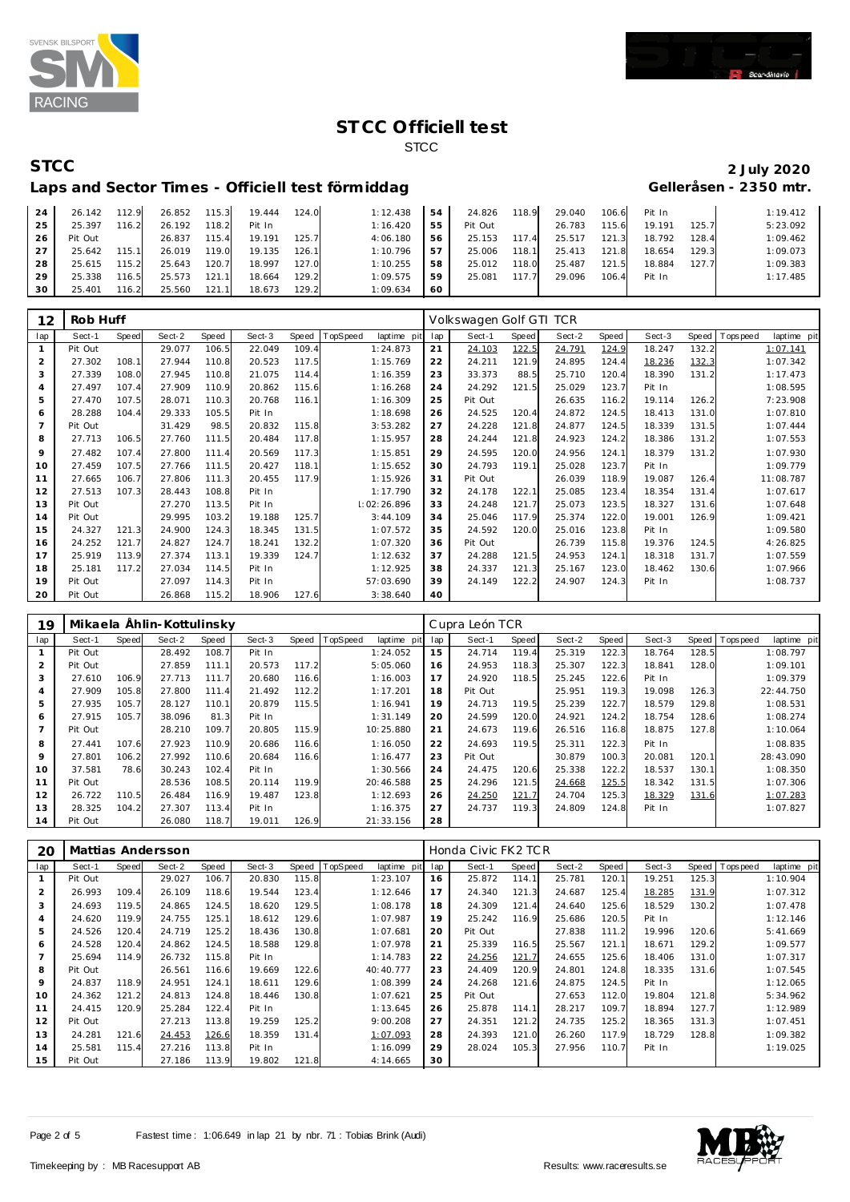



## **STCC 2 July 2020**

#### Laps and Sector Times - Officiell test förmiddag **Gelleråsen - 2350 mtr.**

#### 24 26.142 112.9 26.852 115.3 19.444 124.0 1:12.438<br>25 25.397 116.2 26.192 118.2 Pit In 1:16.420 25.397 116.2 26.192 118.2 Pit In 1:16.420 Pit Out 26.837 115.4 19.191 125.7 4:06.180 27 25.642 115.1 26.019 119.0 19.135 126.1 1:10.796<br>28 25.615 115.2 25.643 120.7 18.997 127.0 1:10.255 28 25.615 115.2 25.643 120.7 18.997 127.0 1:10.255<br>29 25.338 116.5 25.573 121.1 18.664 129.2 1:09.575 25.338 116.5 25.573 121.1 18.664 129.2 1:09.575 25.401 116.2 25.560 121.1 18.673 129.2 1:09.634 **54** 24.826 118.9 29.040 106.6 Pit In 1:19.412<br>**55** Pit Out 26.783 115.6 19.191 125.7 5:23.092 Pit Out 26.783 115.6 19.191 125.7 5:23.092 25.153 117.4 25.517 121.3 18.792 128.4 1:09.462 25.006 118.1 25.413 121.8 18.654 129.3 1:09.073 25.012 118.0 25.487 121.5 18.884 127.7 1:09.383 25.081 117.7 29.096 106.4 Pit In 1:17.485

| 12             | Rob Huff |              |        |       |        |       |          |             |     | Volkswagen Golf GTI TCR |       |        |       |        |       |          |             |
|----------------|----------|--------------|--------|-------|--------|-------|----------|-------------|-----|-------------------------|-------|--------|-------|--------|-------|----------|-------------|
| lap            | Sect-1   | <b>Speed</b> | Sect-2 | Speed | Sect-3 | Speed | TopSpeed | laptime pit | lap | Sect-1                  | Speed | Sect-2 | Speed | Sect-3 | Speed | Topspeed | laptime pit |
|                | Pit Out  |              | 29.077 | 106.5 | 22.049 | 109.4 |          | 1:24.873    | 21  | 24.103                  | 122.5 | 24.791 | 124.9 | 18.247 | 132.2 |          | 1:07.141    |
| $\overline{2}$ | 27.302   | 108.1        | 27.944 | 110.8 | 20.523 | 117.5 |          | 1:15.769    | 22  | 24.211                  | 121.9 | 24.895 | 124.4 | 18.236 | 132.3 |          | 1:07.342    |
| 3              | 27.339   | 108.0        | 27.945 | 110.8 | 21.075 | 114.4 |          | 1:16.359    | 23  | 33.373                  | 88.5  | 25.710 | 120.4 | 18.390 | 131.2 |          | 1:17.473    |
| 4              | 27.497   | 107.4        | 27.909 | 110.9 | 20.862 | 115.6 |          | 1:16.268    | 24  | 24.292                  | 121.5 | 25.029 | 123.7 | Pit In |       |          | 1:08.595    |
| 5              | 27.470   | 107.5        | 28.071 | 110.3 | 20.768 | 116.1 |          | 1:16.309    | 25  | Pit Out                 |       | 26.635 | 116.2 | 19.114 | 126.2 |          | 7:23.908    |
| 6              | 28.288   | 104.4        | 29.333 | 105.5 | Pit In |       |          | 1:18.698    | 26  | 24.525                  | 120.4 | 24.872 | 124.5 | 18.413 | 131.0 |          | 1:07.810    |
| $\overline{7}$ | Pit Out  |              | 31.429 | 98.5  | 20.832 | 115.8 |          | 3:53.282    | 27  | 24.228                  | 121.8 | 24.877 | 124.5 | 18.339 | 131.5 |          | 1:07.444    |
| 8              | 27.713   | 106.5        | 27.760 | 111.5 | 20.484 | 117.8 |          | 1:15.957    | 28  | 24.244                  | 121.8 | 24.923 | 124.2 | 18.386 | 131.2 |          | 1:07.553    |
| 9              | 27.482   | 107.4        | 27.800 | 111.4 | 20.569 | 117.3 |          | 1:15.851    | 29  | 24.595                  | 120.0 | 24.956 | 124.1 | 18.379 | 131.2 |          | 1:07.930    |
| 10             | 27.459   | 107.5        | 27.766 | 111.5 | 20.427 | 118.1 |          | 1:15.652    | 30  | 24.793                  | 119.1 | 25.028 | 123.7 | Pit In |       |          | 1:09.779    |
| 11             | 27.665   | 106.7        | 27.806 | 111.3 | 20.455 | 117.9 |          | 1:15.926    | 31  | Pit Out                 |       | 26.039 | 118.9 | 19.087 | 126.4 |          | 11:08.787   |
| 12             | 27.513   | 107.3        | 28.443 | 108.8 | Pit In |       |          | 1:17.790    | 32  | 24.178                  | 122.1 | 25.085 | 123.4 | 18.354 | 131.4 |          | 1:07.617    |
| 13             | Pit Out  |              | 27.270 | 113.5 | Pit In |       |          | 1:02:26.896 | 33  | 24.248                  | 121.7 | 25.073 | 123.5 | 18.327 | 131.6 |          | 1:07.648    |
| 14             | Pit Out  |              | 29.995 | 103.2 | 19.188 | 125.7 |          | 3:44.109    | 34  | 25.046                  | 117.9 | 25.374 | 122.0 | 19.001 | 126.9 |          | 1:09.421    |
| 15             | 24.327   | 121.3        | 24.900 | 124.3 | 18.345 | 131.5 |          | 1:07.572    | 35  | 24.592                  | 120.0 | 25.016 | 123.8 | Pit In |       |          | 1:09.580    |
| 16             | 24.252   | 121.7        | 24.827 | 124.7 | 18.241 | 132.2 |          | 1:07.320    | 36  | Pit Out                 |       | 26.739 | 115.8 | 19.376 | 124.5 |          | 4:26.825    |
| 17             | 25.919   | 113.9        | 27.374 | 113.1 | 19.339 | 124.7 |          | 1:12.632    | 37  | 24.288                  | 121.5 | 24.953 | 124.1 | 18.318 | 131.7 |          | 1:07.559    |
| 18             | 25.181   | 117.2        | 27.034 | 114.5 | Pit In |       |          | 1:12.925    | 38  | 24.337                  | 121.3 | 25.167 | 123.0 | 18.462 | 130.6 |          | 1:07.966    |
| 19             | Pit Out  |              | 27.097 | 114.3 | Pit In |       |          | 57:03.690   | 39  | 24.149                  | 122.2 | 24.907 | 124.3 | Pit In |       |          | 1:08.737    |
| 20             | Pit Out  |              | 26.868 | 115.2 | 18.906 | 127.6 |          | 3:38.640    | 40  |                         |       |        |       |        |       |          |             |

| 19             |         |       | Mikaela Ählin-Kottulinsky |       |        |       |          |             |     | Cupra León TCR |       |        |       |        |       |            |             |
|----------------|---------|-------|---------------------------|-------|--------|-------|----------|-------------|-----|----------------|-------|--------|-------|--------|-------|------------|-------------|
| lap            | Sect-1  | Speed | Sect-2                    | Speed | Sect-3 | Speed | TopSpeed | laptime pit | lap | Sect-1         | Speed | Sect-2 | Speed | Sect-3 | Speed | T ops peed | laptime pit |
|                | Pit Out |       | 28.492                    | 108.7 | Pit In |       |          | 1:24.052    | 15  | 24.714         | 119.4 | 25.319 | 122.3 | 18.764 | 128.5 |            | 1:08.797    |
| 2              | Pit Out |       | 27.859                    | 111.1 | 20.573 | 117.2 |          | 5:05.060    | 16  | 24.953         | 118.3 | 25.307 | 122.3 | 18.841 | 128.0 |            | 1:09.101    |
| 3              | 27.610  | 106.9 | 27.713                    | 111.7 | 20.680 | 116.6 |          | 1:16.003    | 17  | 24.920         | 118.5 | 25.245 | 122.6 | Pit In |       |            | 1:09.379    |
| 4              | 27.909  | 105.8 | 27.800                    | 111.4 | 21.492 | 112.2 |          | 1:17.201    | 18  | Pit Out        |       | 25.951 | 119.3 | 19.098 | 126.3 |            | 22:44.750   |
| 5              | 27.935  | 105.7 | 28.127                    | 110.1 | 20.879 | 115.5 |          | 1:16.941    | 19  | 24.713         | 119.5 | 25.239 | 122.7 | 18.579 | 129.8 |            | 1:08.531    |
| 6              | 27.915  | 105.7 | 38.096                    | 81.3  | Pit In |       |          | 1:31.149    | 20  | 24.599         | 120.0 | 24.921 | 124.2 | 18.754 | 128.6 |            | 1:08.274    |
| $\overline{7}$ | Pit Out |       | 28.210                    | 109.7 | 20.805 | 115.9 |          | 10:25.880   | 21  | 24.673         | 119.6 | 26.516 | 116.8 | 18.875 | 127.8 |            | 1:10.064    |
| 8              | 27.441  | 107.6 | 27.923                    | 110.9 | 20.686 | 116.6 |          | 1:16.050    | 22  | 24.693         | 119.5 | 25.311 | 122.3 | Pit In |       |            | 1:08.835    |
| 9              | 27.801  | 106.2 | 27.992                    | 110.6 | 20.684 | 116.6 |          | 1:16.477    | 23  | Pit Out        |       | 30.879 | 100.3 | 20.081 | 120.1 |            | 28:43.090   |
| 10             | 37.581  | 78.6  | 30.243                    | 102.4 | Pit In |       |          | 1:30.566    | 24  | 24.475         | 120.6 | 25.338 | 122.2 | 18.537 | 130.1 |            | 1:08.350    |
| 11             | Pit Out |       | 28.536                    | 108.5 | 20.114 | 119.9 |          | 20:46.588   | 25  | 24.296         | 121.5 | 24.668 | 125.5 | 18.342 | 131.5 |            | 1:07.306    |
| 12             | 26.722  | 110.5 | 26.484                    | 116.9 | 19.487 | 123.8 |          | 1:12.693    | 26  | 24.250         | 121.7 | 24.704 | 125.3 | 18.329 | 131.6 |            | 1:07.283    |
| 13             | 28.325  | 104.2 | 27.307                    | 113.4 | Pit In |       |          | 1:16.375    | 27  | 24.737         | 119.3 | 24.809 | 124.8 | Pit In |       |            | 1:07.827    |
| 14             | Pit Out |       | 26.080                    | 118.7 | 19.011 | 126.9 |          | 21:33.156   | 28  |                |       |        |       |        |       |            |             |

| 20  |         |              | Mattias Andersson |       |        |       |                 |             |     | Honda Civic FK2 TCR |       |        |       |        |              |           |             |
|-----|---------|--------------|-------------------|-------|--------|-------|-----------------|-------------|-----|---------------------|-------|--------|-------|--------|--------------|-----------|-------------|
| lap | Sect-1  | <b>Speed</b> | Sect-2            | Speed | Sect-3 | Speed | <b>TopSpeed</b> | laptime pit | lap | Sect-1              | Speed | Sect-2 | Speed | Sect-3 | <b>Speed</b> | Tops peed | laptime pit |
|     | Pit Out |              | 29.027            | 106.7 | 20.830 | 115.8 |                 | 1:23.107    | 16  | 25.872              | 114.1 | 25.781 | 120.1 | 19.251 | 125.3        |           | 1:10.904    |
| 2   | 26.993  | 109.4        | 26.109            | 118.6 | 19.544 | 123.4 |                 | 1:12.646    | 17  | 24.340              | 121.3 | 24.687 | 125.4 | 18.285 | 131.9        |           | 1:07.312    |
| 3   | 24.693  | 119.5        | 24.865            | 124.5 | 18.620 | 129.5 |                 | 1:08.178    | 18  | 24.309              | 121.4 | 24.640 | 125.6 | 18.529 | 130.2        |           | 1:07.478    |
| 4   | 24.620  | 119.9        | 24.755            | 125.1 | 18.612 | 129.6 |                 | 1:07.987    | 19  | 25.242              | 116.9 | 25.686 | 120.5 | Pit In |              |           | 1:12.146    |
| 5   | 24.526  | 120.4        | 24.719            | 125.2 | 18.436 | 130.8 |                 | 1:07.681    | 20  | Pit Out             |       | 27.838 | 111.2 | 19.996 | 120.6        |           | 5:41.669    |
| 6   | 24.528  | 120.4        | 24.862            | 124.5 | 18.588 | 129.8 |                 | 1:07.978    | 21  | 25.339              | 116.5 | 25.567 | 121.1 | 18.671 | 129.2        |           | 1:09.577    |
|     | 25.694  | 114.9        | 26.732            | 115.8 | Pit In |       |                 | 1:14.783    | 22  | 24.256              | 121.7 | 24.655 | 125.6 | 18.406 | 131.0        |           | 1:07.317    |
| 8   | Pit Out |              | 26.561            | 116.6 | 19.669 | 122.6 |                 | 40:40.777   | 23  | 24.409              | 120.9 | 24.801 | 124.8 | 18.335 | 131.6        |           | 1:07.545    |
| 9   | 24.837  | 118.9        | 24.951            | 124.1 | 18.611 | 129.6 |                 | 1:08.399    | 24  | 24.268              | 121.6 | 24.875 | 124.5 | Pit In |              |           | 1:12.065    |
| 10  | 24.362  | 121.2        | 24.813            | 124.8 | 18.446 | 130.8 |                 | 1:07.621    | 25  | Pit Out             |       | 27.653 | 112.0 | 19.804 | 121.8        |           | 5:34.962    |
| 11  | 24.415  | 120.9        | 25.284            | 122.4 | Pit In |       |                 | 1:13.645    | 26  | 25.878              | 114.1 | 28.217 | 109.7 | 18.894 | 127.7        |           | 1:12.989    |
| 12  | Pit Out |              | 27.213            | 113.8 | 19.259 | 125.2 |                 | 9:00.208    | 27  | 24.351              | 121.2 | 24.735 | 125.2 | 18.365 | 131.3        |           | 1:07.451    |
| 13  | 24.281  | 121.6        | 24.453            | 126.6 | 18.359 | 131.4 |                 | 1:07.093    | 28  | 24.393              | 121.0 | 26.260 | 117.9 | 18.729 | 128.8        |           | 1:09.382    |
| 14  | 25.581  | 115.4        | 27.216            | 113.8 | Pit In |       |                 | 1:16.099    | 29  | 28.024              | 105.3 | 27.956 | 110.7 | Pit In |              |           | 1:19.025    |
| 15  | Pit Out |              | 27.186            | 113.9 | 19.802 | 121.8 |                 | 4:14.665    | 30  |                     |       |        |       |        |              |           |             |

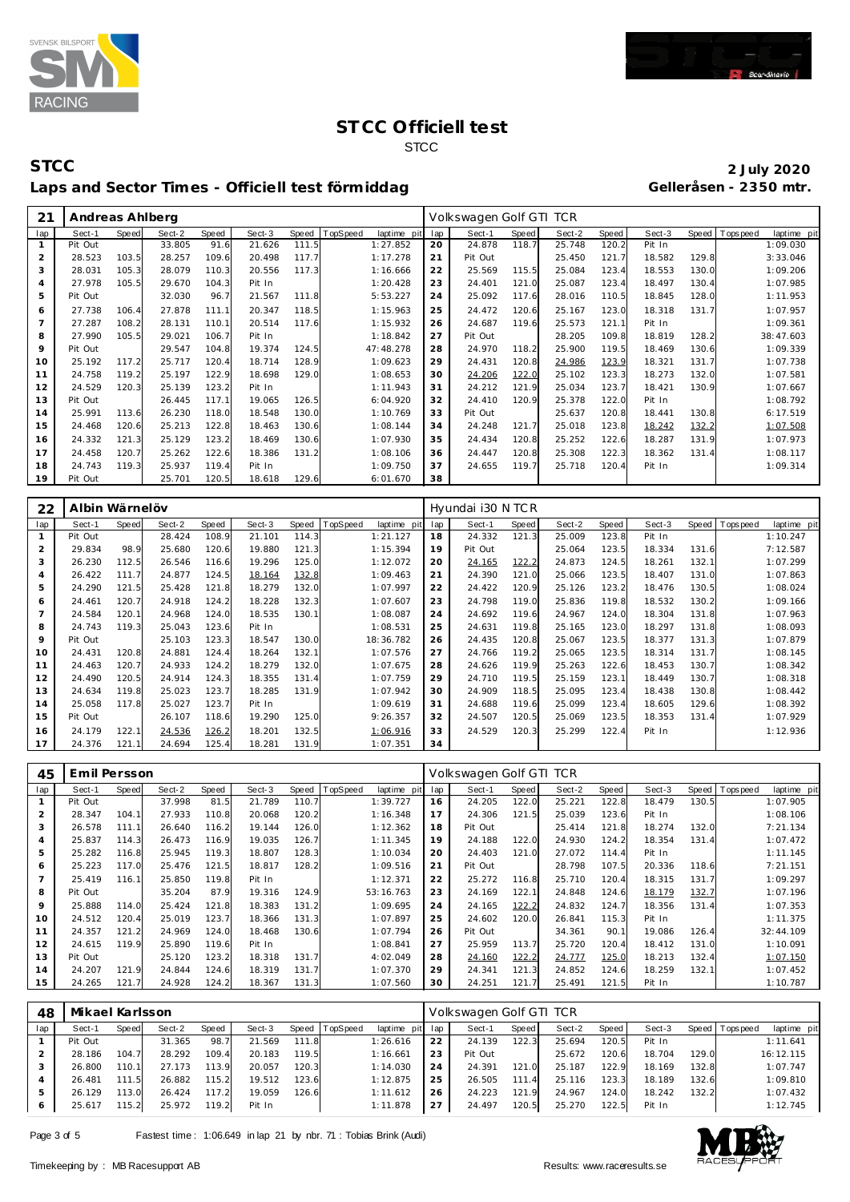



#### **STCC 2 July 2020** Laps and Sector Times - Officiell test förmiddag

| 21             | Andreas Ahlberg |              |        |       |        |       |          |             |     | Volkswagen Golf GTI TCR |       |        |       |        |       |             |             |
|----------------|-----------------|--------------|--------|-------|--------|-------|----------|-------------|-----|-------------------------|-------|--------|-------|--------|-------|-------------|-------------|
| lap            | Sect-1          | <b>Speed</b> | Sect-2 | Speed | Sect-3 | Speed | TopSpeed | laptime pit | lap | Sect-1                  | Speed | Sect-2 | Speed | Sect-3 | Speed | T ops pee d | laptime pit |
|                | Pit Out         |              | 33.805 | 91.6  | 21.626 | 111.5 |          | 1:27.852    | 20  | 24.878                  | 118.7 | 25.748 | 120.2 | Pit In |       |             | 1:09.030    |
| $\overline{2}$ | 28.523          | 103.5        | 28.257 | 109.6 | 20.498 | 117.7 |          | 1:17.278    | 21  | Pit Out                 |       | 25.450 | 121.7 | 18.582 | 129.8 |             | 3:33.046    |
| 3              | 28.031          | 105.3        | 28.079 | 110.3 | 20.556 | 117.3 |          | 1:16.666    | 22  | 25.569                  | 115.5 | 25.084 | 123.4 | 18.553 | 130.0 |             | 1:09.206    |
| $\overline{4}$ | 27.978          | 105.5        | 29.670 | 104.3 | Pit In |       |          | 1:20.428    | 23  | 24.401                  | 121.0 | 25.087 | 123.4 | 18.497 | 130.4 |             | 1:07.985    |
| 5              | Pit Out         |              | 32.030 | 96.7  | 21.567 | 111.8 |          | 5:53.227    | 24  | 25.092                  | 117.6 | 28.016 | 110.5 | 18.845 | 128.0 |             | 1:11.953    |
| 6              | 27.738          | 106.4        | 27.878 | 111.1 | 20.347 | 118.5 |          | 1:15.963    | 25  | 24.472                  | 120.6 | 25.167 | 123.0 | 18.318 | 131.7 |             | 1:07.957    |
| $\overline{7}$ | 27.287          | 108.2        | 28.131 | 110.1 | 20.514 | 117.6 |          | 1:15.932    | 26  | 24.687                  | 119.6 | 25.573 | 121.1 | Pit In |       |             | 1:09.361    |
| 8              | 27.990          | 105.5        | 29.021 | 106.7 | Pit In |       |          | 1:18.842    | 27  | Pit Out                 |       | 28.205 | 109.8 | 18.819 | 128.2 |             | 38:47.603   |
| 9              | Pit Out         |              | 29.547 | 104.8 | 19.374 | 124.5 |          | 47:48.278   | 28  | 24.970                  | 118.2 | 25.900 | 119.5 | 18.469 | 130.6 |             | 1:09.339    |
| 10             | 25.192          | 117.2        | 25.717 | 120.4 | 18.714 | 128.9 |          | 1:09.623    | 29  | 24.431                  | 120.8 | 24.986 | 123.9 | 18.321 | 131.7 |             | 1:07.738    |
| 11             | 24.758          | 119.2        | 25.197 | 122.9 | 18.698 | 129.0 |          | 1:08.653    | 30  | 24.206                  | 122.0 | 25.102 | 123.3 | 18.273 | 132.0 |             | 1:07.581    |
| 12             | 24.529          | 120.3        | 25.139 | 123.2 | Pit In |       |          | 1:11.943    | 31  | 24.212                  | 121.9 | 25.034 | 123.7 | 18.421 | 130.9 |             | 1:07.667    |
| 13             | Pit Out         |              | 26.445 | 117.1 | 19.065 | 126.5 |          | 6:04.920    | 32  | 24.410                  | 120.9 | 25.378 | 122.0 | Pit In |       |             | 1:08.792    |
| 14             | 25.991          | 113.6        | 26.230 | 118.0 | 18.548 | 130.0 |          | 1:10.769    | 33  | Pit Out                 |       | 25.637 | 120.8 | 18.441 | 130.8 |             | 6:17.519    |
| 15             | 24.468          | 120.6        | 25.213 | 122.8 | 18.463 | 130.6 |          | 1:08.144    | 34  | 24.248                  | 121.7 | 25.018 | 123.8 | 18.242 | 132.2 |             | 1:07.508    |
| 16             | 24.332          | 121.3        | 25.129 | 123.2 | 18.469 | 130.6 |          | 1:07.930    | 35  | 24.434                  | 120.8 | 25.252 | 122.6 | 18.287 | 131.9 |             | 1:07.973    |
| 17             | 24.458          | 120.7        | 25.262 | 122.6 | 18.386 | 131.2 |          | 1:08.106    | 36  | 24.447                  | 120.8 | 25.308 | 122.3 | 18.362 | 131.4 |             | 1:08.117    |
| 18             | 24.743          | 119.3        | 25.937 | 119.4 | Pit In |       |          | 1:09.750    | 37  | 24.655                  | 119.7 | 25.718 | 120.4 | Pit In |       |             | 1:09.314    |
| 19             | Pit Out         |              | 25.701 | 120.5 | 18.618 | 129.6 |          | 6:01.670    | 38  |                         |       |        |       |        |       |             |             |

| 22             | Albin Wärnelöv |       |        |       |        |       |          |             |     | Hyundai i30 N TCR |              |        |       |        |       |                |             |
|----------------|----------------|-------|--------|-------|--------|-------|----------|-------------|-----|-------------------|--------------|--------|-------|--------|-------|----------------|-------------|
| lap            | Sect-1         | Speed | Sect-2 | Speed | Sect-3 | Speed | TopSpeed | laptime pit | lap | Sect-1            | <b>Speed</b> | Sect-2 | Speed | Sect-3 |       | Speed Topspeed | laptime pit |
|                | Pit Out        |       | 28.424 | 108.9 | 21.101 | 114.3 |          | 1:21.127    | 18  | 24.332            | 121.3        | 25.009 | 123.8 | Pit In |       |                | 1:10.247    |
| 2              | 29.834         | 98.9  | 25.680 | 120.6 | 19.880 | 121.3 |          | 1:15.394    | 19  | Pit Out           |              | 25.064 | 123.5 | 18.334 | 131.6 |                | 7:12.587    |
| 3              | 26.230         | 112.5 | 26.546 | 116.6 | 19.296 | 125.0 |          | 1:12.072    | 20  | 24.165            | 122.2        | 24.873 | 124.5 | 18.261 | 132.1 |                | 1:07.299    |
| $\overline{a}$ | 26.422         | 111.7 | 24.877 | 124.5 | 18.164 | 132.8 |          | 1:09.463    | 21  | 24.390            | 121.0        | 25.066 | 123.5 | 18.407 | 131.0 |                | 1:07.863    |
| 5              | 24.290         | 121.5 | 25.428 | 121.8 | 18.279 | 132.0 |          | 1:07.997    | 22  | 24.422            | 120.9        | 25.126 | 123.2 | 18.476 | 130.5 |                | 1:08.024    |
| 6              | 24.461         | 120.7 | 24.918 | 124.2 | 18.228 | 132.3 |          | 1:07.607    | 23  | 24.798            | 119.0        | 25.836 | 119.8 | 18.532 | 130.2 |                | 1:09.166    |
|                | 24.584         | 120.1 | 24.968 | 124.0 | 18.535 | 130.1 |          | 1:08.087    | 24  | 24.692            | 119.6        | 24.967 | 124.0 | 18.304 | 131.8 |                | 1:07.963    |
| 8              | 24.743         | 119.3 | 25.043 | 123.6 | Pit In |       |          | 1:08.531    | 25  | 24.631            | 119.8        | 25.165 | 123.0 | 18.297 | 131.8 |                | 1:08.093    |
| 9              | Pit Out        |       | 25.103 | 123.3 | 18.547 | 130.0 |          | 18:36.782   | 26  | 24.435            | 120.8        | 25.067 | 123.5 | 18.377 | 131.3 |                | 1:07.879    |
| 10             | 24.431         | 120.8 | 24.881 | 124.4 | 18.264 | 132.1 |          | 1:07.576    | 27  | 24.766            | 119.2        | 25.065 | 123.5 | 18.314 | 131.7 |                | 1:08.145    |
| 11             | 24.463         | 120.7 | 24.933 | 124.2 | 18.279 | 132.0 |          | 1:07.675    | 28  | 24.626            | 119.9        | 25.263 | 122.6 | 18.453 | 130.7 |                | 1:08.342    |
| 12             | 24.490         | 120.5 | 24.914 | 124.3 | 18.355 | 131.4 |          | 1:07.759    | 29  | 24.710            | 119.5        | 25.159 | 123.1 | 18.449 | 130.7 |                | 1:08.318    |
| 13             | 24.634         | 119.8 | 25.023 | 123.7 | 18.285 | 131.9 |          | 1:07.942    | 30  | 24.909            | 118.5        | 25.095 | 123.4 | 18.438 | 130.8 |                | 1:08.442    |
| 14             | 25.058         | 117.8 | 25.027 | 123.7 | Pit In |       |          | 1:09.619    | 31  | 24.688            | 119.6        | 25.099 | 123.4 | 18.605 | 129.6 |                | 1:08.392    |
| 15             | Pit Out        |       | 26.107 | 118.6 | 19.290 | 125.0 |          | 9:26.357    | 32  | 24.507            | 120.5        | 25.069 | 123.5 | 18.353 | 131.4 |                | 1:07.929    |
| 16             | 24.179         | 122.1 | 24.536 | 126.2 | 18.201 | 132.5 |          | 1:06.916    | 33  | 24.529            | 120.3        | 25.299 | 122.4 | Pit In |       |                | 1:12.936    |
| 17             | 24.376         | 121.1 | 24.694 | 125.4 | 18.281 | 131.9 |          | 1:07.351    | 34  |                   |              |        |       |        |       |                |             |

| 45             | Emil Persson |       |        |       |        |       |          |             |     | Volkswagen Golf GTI TCR |       |        |       |        |       |                 |             |
|----------------|--------------|-------|--------|-------|--------|-------|----------|-------------|-----|-------------------------|-------|--------|-------|--------|-------|-----------------|-------------|
| lap            | Sect-1       | Speed | Sect-2 | Speed | Sect-3 | Speed | TopSpeed | laptime pit | lap | Sect-1                  | Speed | Sect-2 | Speed | Sect-3 |       | Speed Tops peed | laptime pit |
|                | Pit Out      |       | 37.998 | 81.5  | 21.789 | 110.7 |          | 1:39.727    | 16  | 24.205                  | 122.0 | 25.221 | 122.8 | 18.479 | 130.5 |                 | 1:07.905    |
| 2              | 28.347       | 104.1 | 27.933 | 110.8 | 20.068 | 120.2 |          | 1:16.348    | 17  | 24.306                  | 121.5 | 25.039 | 123.6 | Pit In |       |                 | 1:08.106    |
| 3              | 26.578       | 111.1 | 26.640 | 116.2 | 19.144 | 126.0 |          | 1:12.362    | 18  | Pit Out                 |       | 25.414 | 121.8 | 18.274 | 132.0 |                 | 7:21.134    |
| 4              | 25.837       | 114.3 | 26.473 | 116.9 | 19.035 | 126.7 |          | 1:11.345    | 19  | 24.188                  | 122.0 | 24.930 | 124.2 | 18.354 | 131.4 |                 | 1:07.472    |
| 5              | 25.282       | 116.8 | 25.945 | 119.3 | 18.807 | 128.3 |          | 1:10.034    | 20  | 24.403                  | 121.0 | 27.072 | 114.4 | Pit In |       |                 | 1:11.145    |
| 6              | 25.223       | 117.0 | 25.476 | 121.5 | 18.817 | 128.2 |          | 1:09.516    | 21  | Pit Out                 |       | 28.798 | 107.5 | 20.336 | 118.6 |                 | 7:21.151    |
| $\overline{7}$ | 25.419       | 116.1 | 25.850 | 119.8 | Pit In |       |          | 1:12.371    | 22  | 25.272                  | 116.8 | 25.710 | 120.4 | 18.315 | 131.7 |                 | 1:09.297    |
| 8              | Pit Out      |       | 35.204 | 87.9  | 19.316 | 124.9 |          | 53:16.763   | 23  | 24.169                  | 122.1 | 24.848 | 124.6 | 18.179 | 132.7 |                 | 1:07.196    |
| 9              | 25.888       | 114.0 | 25.424 | 121.8 | 18.383 | 131.2 |          | 1:09.695    | 24  | 24.165                  | 122.2 | 24.832 | 124.7 | 18.356 | 131.4 |                 | 1:07.353    |
| 10             | 24.512       | 120.4 | 25.019 | 123.7 | 18.366 | 131.3 |          | 1:07.897    | 25  | 24.602                  | 120.0 | 26.841 | 115.3 | Pit In |       |                 | 1:11.375    |
| 11             | 24.357       | 121.2 | 24.969 | 124.0 | 18.468 | 130.6 |          | 1:07.794    | 26  | Pit Out                 |       | 34.361 | 90.1  | 19.086 | 126.4 |                 | 32:44.109   |
| 12             | 24.615       | 119.9 | 25.890 | 119.6 | Pit In |       |          | 1:08.841    | 27  | 25.959                  | 113.7 | 25.720 | 120.4 | 18.412 | 131.0 |                 | 1:10.091    |
| 13             | Pit Out      |       | 25.120 | 123.2 | 18.318 | 131.7 |          | 4:02.049    | 28  | 24.160                  | 122.2 | 24.777 | 125.0 | 18.213 | 132.4 |                 | 1:07.150    |
| 14             | 24.207       | 121.9 | 24.844 | 124.6 | 18.319 | 131.7 |          | 1:07.370    | 29  | 24.341                  | 121.3 | 24.852 | 124.6 | 18.259 | 132.1 |                 | 1:07.452    |
| 15             | 24.265       | 121.7 | 24.928 | 124.2 | 18.367 | 131.3 |          | 1:07.560    | 30  | 24.251                  | 121.7 | 25.491 | 121.5 | Pit In |       |                 | 1:10.787    |

| 48  | Mikael Karlsson |       |        |       |        |       |                 |                 |    | Volkswagen Golf GTI TCR |       |        |       |        |       |                |             |
|-----|-----------------|-------|--------|-------|--------|-------|-----------------|-----------------|----|-------------------------|-------|--------|-------|--------|-------|----------------|-------------|
| lap | Sect-1          | Speed | Sect-2 | Speed | Sect-3 | Speed | <b>TopSpeed</b> | laptime pit lap |    | Sect-1                  | Speed | Sect-2 | Speed | Sect-3 |       | Speed Topspeed | laptime pit |
|     | Pit Out         |       | 31.365 | 98.7  | 21.569 | 111.8 |                 | 1:26.616        | 22 | 24.139                  | 122.3 | 25.694 | 120.5 | Pit In |       |                | 1:11.641    |
|     | 28.186          | 104.7 | 28.292 | 109.4 | 20.183 | 119.5 |                 | 1:16.661        | 23 | Pit Out                 |       | 25.672 | 120.6 | 18.704 | 129.0 |                | 16:12.115   |
|     | 26.800          | 110.1 | 27.173 | 113.9 | 20.057 | 120.3 |                 | 1:14.030        | 24 | 24.391                  | 121.0 | 25.187 | 122.9 | 18.169 | 132.8 |                | 1:07.747    |
|     | 26.481          | 111.5 | 26.882 | 115.2 | 19.512 | 123.6 |                 | 1:12.875        | 25 | 26.505                  | 111.4 | 25.116 | 123.3 | 18.189 | 132.6 |                | 1:09.810    |
|     | 26.129          | 113.0 | 26.424 | 117.2 | 19.059 | 126.6 |                 | 1:11.612        | 26 | 24.223                  | 121.9 | 24.967 | 124.0 | 18.242 | 132.2 |                | 1:07.432    |
|     | 25.617          | 115.2 | 25.972 | 119.2 | Pit In |       |                 | 1:11.878        | 27 | 24.497                  | 120.5 | 25.270 | 122.5 | Pit In |       |                | 1:12.745    |

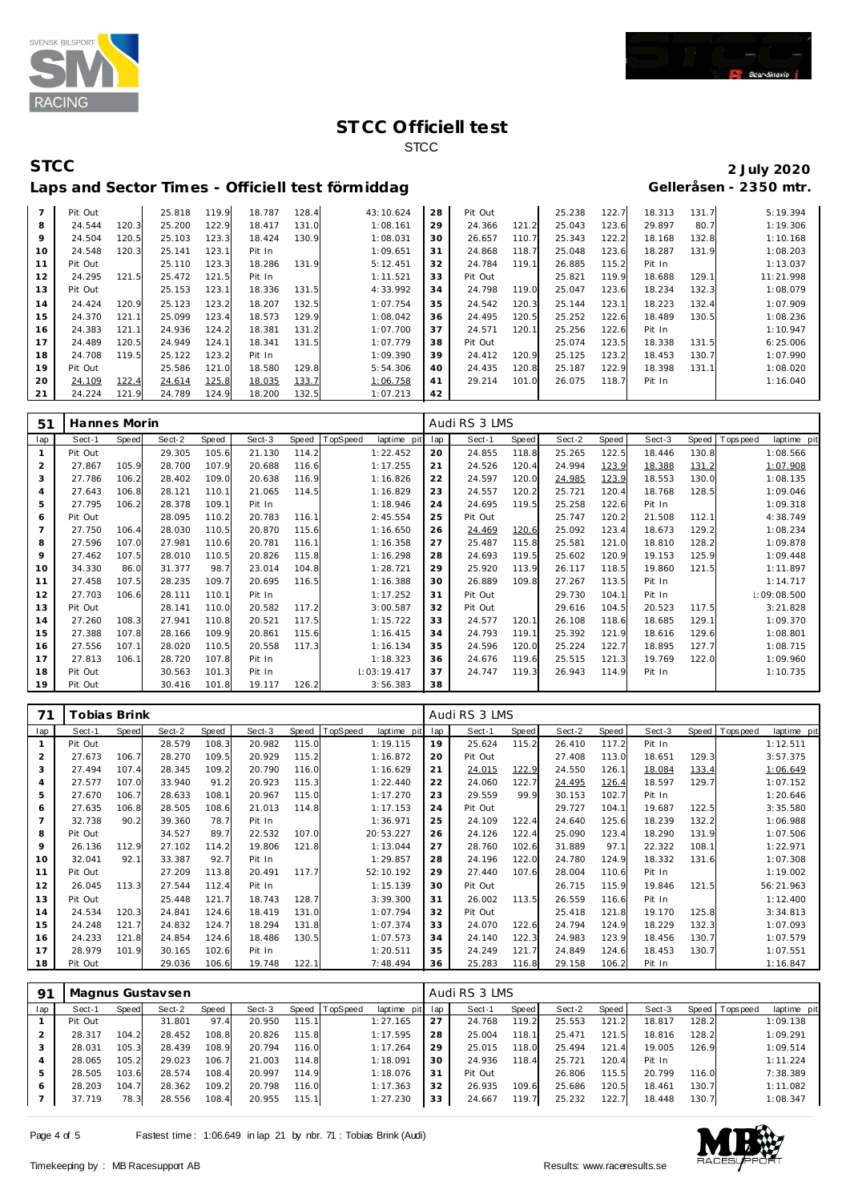



# **STCC 2 July 2020**

| Laps and Sector Times - Officiell test förmiddag | Gelleråsen - 2350 mtr. |
|--------------------------------------------------|------------------------|
|--------------------------------------------------|------------------------|

| $\overline{7}$ | Pit Out |       | 25.818 | 119.9 | 18.787 | 128.4 | 43:10.624 | 28 | Pit Out |       | 25.238 | 122.7 | 18.313 | 131.7 | 5:19.394  |
|----------------|---------|-------|--------|-------|--------|-------|-----------|----|---------|-------|--------|-------|--------|-------|-----------|
| 8              | 24.544  | 120.3 | 25.200 | 122.9 | 18.417 | 131.0 | 1:08.161  | 29 | 24.366  | 121.2 | 25.043 | 123.6 | 29.897 | 80.7  | 1:19.306  |
| 9              | 24.504  | 120.5 | 25.103 | 123.3 | 18.424 | 130.9 | 1:08.031  | 30 | 26.657  | 110.7 | 25.343 | 122.2 | 18.168 | 132.8 | 1:10.168  |
| 10             | 24.548  | 120.3 | 25.141 | 123.1 | Pit In |       | 1:09.651  | 31 | 24.868  | 118.7 | 25.048 | 123.6 | 18.287 | 131.9 | 1:08.203  |
|                | Pit Out |       | 25.110 | 123.3 | 18.286 | 131.9 | 5:12.451  | 32 | 24.784  | 119.1 | 26.885 | 115.2 | Pit In |       | 1:13.037  |
| 12             | 24.295  | 121.5 | 25.472 | 121.5 | Pit In |       | 1:11.521  | 33 | Pit Out |       | 25.821 | 119.9 | 18.688 | 129.1 | 11:21.998 |
| 13             | Pit Out |       | 25.153 | 123.1 | 18.336 | 131.5 | 4:33.992  | 34 | 24.798  | 119.0 | 25.047 | 123.6 | 18.234 | 132.3 | 1:08.079  |
| 14             | 24.424  | 120.9 | 25.123 | 123.2 | 18.207 | 132.5 | 1:07.754  | 35 | 24.542  | 120.3 | 25.144 | 123.1 | 18.223 | 132.4 | 1:07.909  |
| 15             | 24.370  | 121.1 | 25.099 | 123.4 | 18.573 | 129.9 | 1:08.042  | 36 | 24.495  | 120.5 | 25.252 | 122.6 | 18.489 | 130.5 | 1:08.236  |
| 16             | 24.383  | 121.1 | 24.936 | 124.2 | 18.381 | 131.2 | 1:07.700  | 37 | 24.571  | 120.1 | 25.256 | 122.6 | Pit In |       | 1:10.947  |
| 17             | 24.489  | 120.5 | 24.949 | 124.1 | 18.341 | 131.5 | 1:07.779  | 38 | Pit Out |       | 25.074 | 123.5 | 18.338 | 131.5 | 6:25.006  |
| 18             | 24.708  | 119.5 | 25.122 | 123.2 | Pit In |       | 1:09.390  | 39 | 24.412  | 120.9 | 25.125 | 123.2 | 18.453 | 130.7 | 1:07.990  |
| 19             | Pit Out |       | 25.586 | 121.0 | 18.580 | 129.8 | 5:54.306  | 40 | 24.435  | 120.8 | 25.187 | 122.9 | 18.398 | 131.1 | 1:08.020  |
| 20             | 24.109  | 122.4 | 24.614 | 125.8 | 18.035 | 133.7 | 1:06.758  | 41 | 29.214  | 101.0 | 26.075 | 118.7 | Pit In |       | 1:16.040  |
| 21             | 24.224  | 121.9 | 24.789 | 124.9 | 18.200 | 132.5 | 1:07.213  | 42 |         |       |        |       |        |       |           |

| 51             | Hannes Morin |       |        |       |        |       |          |             |     | Audi RS 3 LMS |       |        |       |        |       |            |             |  |
|----------------|--------------|-------|--------|-------|--------|-------|----------|-------------|-----|---------------|-------|--------|-------|--------|-------|------------|-------------|--|
| lap            | Sect-1       | Speed | Sect-2 | Speed | Sect-3 | Speed | TopSpeed | laptime pit | lap | Sect-1        | Speed | Sect-2 | Speed | Sect-3 | Speed | T ops peed | laptime pit |  |
| $\mathbf{1}$   | Pit Out      |       | 29.305 | 105.6 | 21.130 | 114.2 |          | 1:22.452    | 20  | 24.855        | 118.8 | 25.265 | 122.5 | 18.446 | 130.8 |            | 1:08.566    |  |
| 2              | 27.867       | 105.9 | 28.700 | 107.9 | 20.688 | 116.6 |          | 1:17.255    | 21  | 24.526        | 120.4 | 24.994 | 123.9 | 18.388 | 131.2 |            | 1:07.908    |  |
| 3              | 27.786       | 106.2 | 28.402 | 109.0 | 20.638 | 116.9 |          | 1:16.826    | 22  | 24.597        | 120.0 | 24.985 | 123.9 | 18.553 | 130.0 |            | 1:08.135    |  |
| $\overline{4}$ | 27.643       | 106.8 | 28.121 | 110.1 | 21.065 | 114.5 |          | 1:16.829    | 23  | 24.557        | 120.2 | 25.721 | 120.4 | 18.768 | 128.5 |            | 1:09.046    |  |
| 5              | 27.795       | 106.2 | 28.378 | 109.1 | Pit In |       |          | 1:18.946    | 24  | 24.695        | 119.5 | 25.258 | 122.6 | Pit In |       |            | 1:09.318    |  |
| 6              | Pit Out      |       | 28.095 | 110.2 | 20.783 | 116.1 |          | 2:45.554    | 25  | Pit Out       |       | 25.747 | 120.2 | 21.508 | 112.1 |            | 4:38.749    |  |
|                | 27.750       | 106.4 | 28.030 | 110.5 | 20.870 | 115.6 |          | 1:16.650    | 26  | 24.469        | 120.6 | 25.092 | 123.4 | 18.673 | 129.2 |            | 1:08.234    |  |
| 8              | 27.596       | 107.0 | 27.981 | 110.6 | 20.781 | 116.1 |          | 1:16.358    | 27  | 25.487        | 115.8 | 25.581 | 121.0 | 18.810 | 128.2 |            | 1:09.878    |  |
| 9              | 27.462       | 107.5 | 28.010 | 110.5 | 20.826 | 115.8 |          | 1:16.298    | 28  | 24.693        | 119.5 | 25.602 | 120.9 | 19.153 | 125.9 |            | 1:09.448    |  |
| 10             | 34.330       | 86.0  | 31.377 | 98.7  | 23.014 | 104.8 |          | 1:28.721    | 29  | 25.920        | 113.9 | 26.117 | 118.5 | 19.860 | 121.5 |            | 1:11.897    |  |
| 11             | 27.458       | 107.5 | 28.235 | 109.7 | 20.695 | 116.5 |          | 1:16.388    | 30  | 26.889        | 109.8 | 27.267 | 113.5 | Pit In |       |            | 1:14.717    |  |
| 12             | 27.703       | 106.6 | 28.111 | 110.1 | Pit In |       |          | 1:17.252    | 31  | Pit Out       |       | 29.730 | 104.1 | Pit In |       |            | 1:09:08.500 |  |
| 13             | Pit Out      |       | 28.141 | 110.0 | 20.582 | 117.2 |          | 3:00.587    | 32  | Pit Out       |       | 29.616 | 104.5 | 20.523 | 117.5 |            | 3:21.828    |  |
| 14             | 27.260       | 108.3 | 27.941 | 110.8 | 20.521 | 117.5 |          | 1:15.722    | 33  | 24.577        | 120.1 | 26.108 | 118.6 | 18.685 | 129.1 |            | 1:09.370    |  |
| 15             | 27.388       | 107.8 | 28.166 | 109.9 | 20.861 | 115.6 |          | 1:16.415    | 34  | 24.793        | 119.1 | 25.392 | 121.9 | 18.616 | 129.6 |            | 1:08.801    |  |
| 16             | 27.556       | 107.1 | 28.020 | 110.5 | 20.558 | 117.3 |          | 1:16.134    | 35  | 24.596        | 120.0 | 25.224 | 122.7 | 18.895 | 127.7 |            | 1:08.715    |  |
| 17             | 27.813       | 106.1 | 28.720 | 107.8 | Pit In |       |          | 1:18.323    | 36  | 24.676        | 119.6 | 25.515 | 121.3 | 19.769 | 122.0 |            | 1:09.960    |  |
| 18             | Pit Out      |       | 30.563 | 101.3 | Pit In |       |          | 1:03:19.417 | 37  | 24.747        | 119.3 | 26.943 | 114.9 | Pit In |       |            | 1:10.735    |  |
| 19             | Pit Out      |       | 30.416 | 101.8 | 19.117 | 126.2 |          | 3:56.383    | 38  |               |       |        |       |        |       |            |             |  |

| 71             | <b>Tobias Brink</b> |              |        |       |        |       |                         |     | Audi RS 3 LMS |       |        |       |        |       |                  |             |  |
|----------------|---------------------|--------------|--------|-------|--------|-------|-------------------------|-----|---------------|-------|--------|-------|--------|-------|------------------|-------------|--|
| lap            | Sect-1              | <b>Speed</b> | Sect-2 | Speed | Sect-3 | Speed | TopSpeed<br>laptime pit | lap | Sect-1        | Speed | Sect-2 | Speed | Sect-3 | Speed | <b>Tops peed</b> | laptime pit |  |
|                | Pit Out             |              | 28.579 | 108.3 | 20.982 | 115.0 | 1:19.115                | 19  | 25.624        | 115.2 | 26.410 | 117.2 | Pit In |       |                  | 1:12.511    |  |
| $\overline{2}$ | 27.673              | 106.7        | 28.270 | 109.5 | 20.929 | 115.2 | 1:16.872                | 20  | Pit Out       |       | 27.408 | 113.0 | 18.651 | 129.3 |                  | 3:57.375    |  |
| 3              | 27.494              | 107.4        | 28.345 | 109.2 | 20.790 | 116.0 | 1:16.629                | 21  | 24.015        | 122.9 | 24.550 | 126.1 | 18.084 | 133.4 |                  | 1:06.649    |  |
| $\overline{4}$ | 27.577              | 107.0        | 33.940 | 91.2  | 20.923 | 115.3 | 1:22.440                | 22  | 24.060        | 122.7 | 24.495 | 126.4 | 18.597 | 129.7 |                  | 1:07.152    |  |
| 5              | 27.670              | 106.7        | 28.633 | 108.  | 20.967 | 115.0 | 1:17.270                | 23  | 29.559        | 99.9  | 30.153 | 102.7 | Pit In |       |                  | 1:20.646    |  |
| 6              | 27.635              | 106.8        | 28.505 | 108.6 | 21.013 | 114.8 | 1:17.153                | 24  | Pit Out       |       | 29.727 | 104.1 | 19.687 | 122.5 |                  | 3:35.580    |  |
| $\overline{7}$ | 32.738              | 90.2         | 39.360 | 78.7  | Pit In |       | 1:36.971                | 25  | 24.109        | 122.4 | 24.640 | 125.6 | 18.239 | 132.2 |                  | 1:06.988    |  |
| 8              | Pit Out             |              | 34.527 | 89.7  | 22.532 | 107.0 | 20:53.227               | 26  | 24.126        | 122.4 | 25.090 | 123.4 | 18.290 | 131.9 |                  | 1:07.506    |  |
| 9              | 26.136              | 112.9        | 27.102 | 114.2 | 19.806 | 121.8 | 1:13.044                | 27  | 28.760        | 102.6 | 31.889 | 97.1  | 22.322 | 108.1 |                  | 1:22.971    |  |
| 10             | 32.041              | 92.1         | 33.387 | 92.7  | Pit In |       | 1:29.857                | 28  | 24.196        | 122.0 | 24.780 | 124.9 | 18.332 | 131.6 |                  | 1:07.308    |  |
| 11             | Pit Out             |              | 27.209 | 113.8 | 20.491 | 117.7 | 52:10.192               | 29  | 27.440        | 107.6 | 28.004 | 110.6 | Pit In |       |                  | 1:19.002    |  |
| 12             | 26.045              | 113.3        | 27.544 | 112.4 | Pit In |       | 1:15.139                | 30  | Pit Out       |       | 26.715 | 115.9 | 19.846 | 121.5 |                  | 56:21.963   |  |
| 13             | Pit Out             |              | 25.448 | 121.7 | 18.743 | 128.7 | 3:39.300                | 31  | 26.002        | 113.5 | 26.559 | 116.6 | Pit In |       |                  | 1:12.400    |  |
| 14             | 24.534              | 120.3        | 24.841 | 124.6 | 18.419 | 131.0 | 1:07.794                | 32  | Pit Out       |       | 25.418 | 121.8 | 19.170 | 125.8 |                  | 3:34.813    |  |
| 15             | 24.248              | 121.7        | 24.832 | 124.7 | 18.294 | 131.8 | 1:07.374                | 33  | 24.070        | 122.6 | 24.794 | 124.9 | 18.229 | 132.3 |                  | 1:07.093    |  |
| 16             | 24.233              | 121.8        | 24.854 | 124.6 | 18.486 | 130.5 | 1:07.573                | 34  | 24.140        | 122.3 | 24.983 | 123.9 | 18.456 | 130.7 |                  | 1:07.579    |  |
| 17             | 28.979              | 101.9        | 30.165 | 102.6 | Pit In |       | 1:20.511                | 35  | 24.249        | 121.7 | 24.849 | 124.6 | 18.453 | 130.7 |                  | 1:07.551    |  |
| 18             | Pit Out             |              | 29.036 | 106.6 | 19.748 | 122.1 | 7:48.494                | 36  | 25.283        | 116.8 | 29.158 | 106.2 | Pit In |       |                  | 1:16.847    |  |

| -91 | Magnus Gustavsen |       |        |       |        |       |                  |                 |    | Audi RS 3 LMS |       |        |       |        |       |                   |             |  |  |
|-----|------------------|-------|--------|-------|--------|-------|------------------|-----------------|----|---------------|-------|--------|-------|--------|-------|-------------------|-------------|--|--|
| lap | Sect-1           | Speed | Sect-2 | Speed | Sect-3 |       | Speed   TopSpeed | laptime pit lap |    | Sect-1        | Speed | Sect-2 | Speed | Sect-3 |       | Speed   Tops peed | laptime pit |  |  |
|     | Pit Out          |       | 31.801 | 97.4  | 20.950 | 115.1 |                  | 1:27.165        | 27 | 24.768        | 119.2 | 25.553 | 121.2 | 18.817 | 128.2 |                   | 1:09.138    |  |  |
|     | 28.317           | 104.2 | 28.452 | 108.8 | 20.826 | 115.8 |                  | 1:17.595        | 28 | 25.004        | 118.1 | 25.471 | 121.5 | 18.816 | 128.2 |                   | 1:09.291    |  |  |
|     | 28.031           | 105.3 | 28.439 | 108.9 | 20.794 | 116.0 |                  | 1:17.264        | 29 | 25.015        | 118.0 | 25.494 | 121.4 | 19.005 | 126.9 |                   | 1:09.514    |  |  |
|     | 28.065           | 105.2 | 29.023 | 106.7 | 21.003 | 114.8 |                  | 1:18.091        | 30 | 24.936        | 118.4 | 25.721 | 120.4 | Pit In |       |                   | 1:11.224    |  |  |
| 5   | 28.505           | 103.6 | 28.574 | 108.4 | 20.997 | 114.9 |                  | 1:18.076        | 31 | Pit Out       |       | 26.806 | 115.5 | 20.799 | 116.0 |                   | 7:38.389    |  |  |
| O   | 28.203           | 104.7 | 28.362 | 109.2 | 20.798 | 116.0 |                  | 1:17.363        | 32 | 26.935        | 109.6 | 25.686 | 120.5 | 18.461 | 130.7 |                   | 1:11.082    |  |  |
|     | 37.719           | 78.3  | 28.556 | 108.4 | 20.955 | 115.1 |                  | 1:27.230        | 33 | 24.667        | 119.7 | 25.232 | 122.7 | 18.448 | 130.7 |                   | 1:08.347    |  |  |